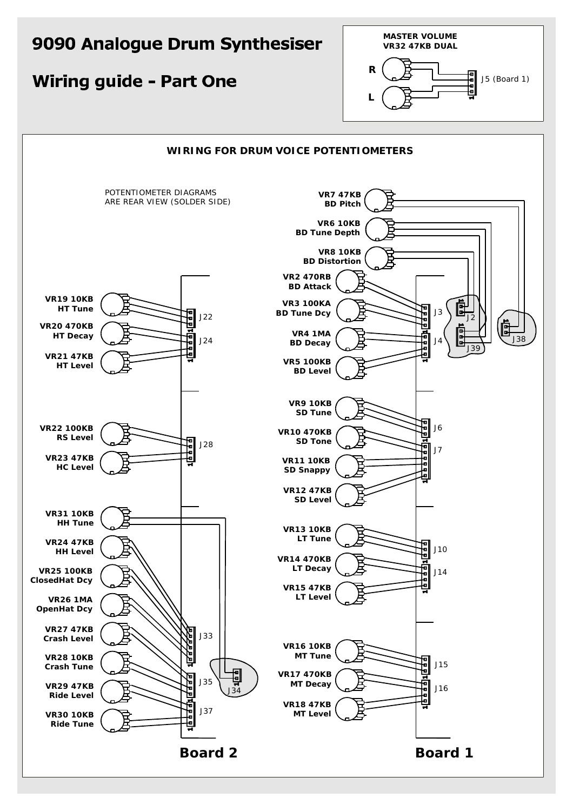